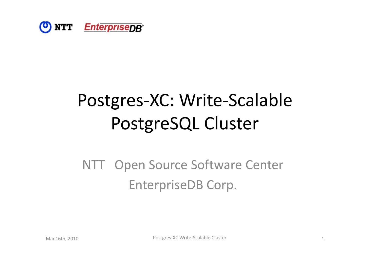

# Postgres-XC: Write-Scalable PostgreSQL Cluster

#### NTT Open Source Software Center EnterpriseDB Corp.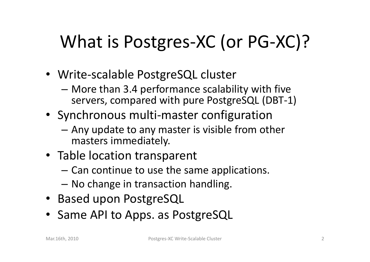# What is Postgres-XC (or PG-XC)?

- Write-scalable PostgreSQL cluster
	- More than 3.4 performance scalability with five servers, compared with pure PostgreSQL (DBT-1)
- Synchronous multi‐master configuration
	- – Any update to any master is visible from other masters immediately.
- Table location transparent
	- – $-$  Can continue to use the same applications.
	- No change in transaction handling.
- Based upon PostgreSQL
- Same API to Apps. as PostgreSQL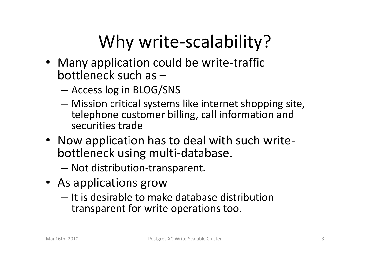# Why write-scalability?

- Many application could be write-traffic bottleneck such as –
	- Access log in BLOG/SNS
	- Mission critical systems like internet shopping site, telephone customer billing, call information and securities trade
- Now application has to deal with such write‐ bottleneck using multi‐database.
	- Not distribution‐transparent.
- As applications grow
	- It is desirable to make database distribution transparent for write operations too.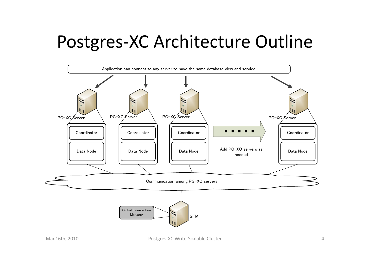## Postgres‐XC Architecture Outline

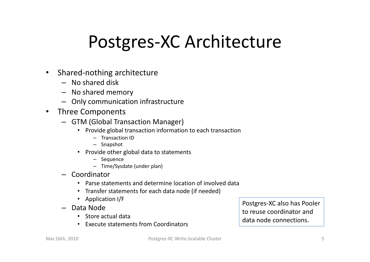# Postgres‐XC Architecture

- $\bullet$  Shared‐nothing architecture
	- No shared disk
	- No shared memory
	- Only communication infrastructure
- $\bullet$ • Three Components
	- GTM (Global Transaction Manager)
		- Provide global transaction information to each transaction
			- Transaction ID
			- Snapshot
		- Provide other global data to statements
			- Sequence
			- Time/Sysdate (under plan)
	- Coordinator
		- •Parse statements and determine location of involved data
		- Transfer statements for each data node (if needed)
		- Application I/F
	- Data Node
		- Store actual data
		- Execute statements from Coordinators

Postgres‐XC also has Pooler to reuse coordinator and data node connections connections.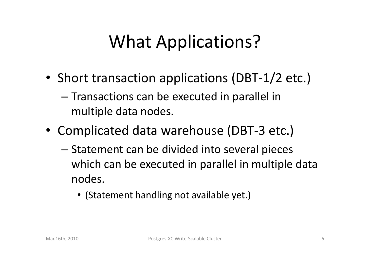# What Applications?

- Short transaction applications (DBT-1/2 etc.)
	- – $-$  Transactions can be executed in parallel in multiple data nodes.
- Complicated data warehouse (DBT-3 etc.)
	- – $-$  Statement can be divided into several pieces which can be executed in parallel in multiple data nodes.
		- (Statement handling not available yet.)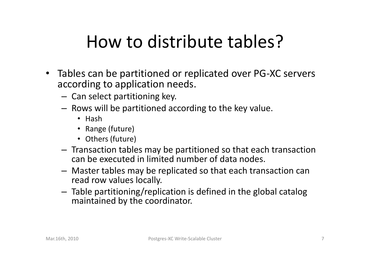# How to distribute tables?

- $\bullet$ • Tables can be partitioned or replicated over PG-XC servers according to application needs.
	- $-$  Can select partitioning key.
	- $-$  Rows will be partitioned according to the key value.
		- Hash
		- Range (future)
		- Others (future)
	- $-$  Transaction tables may be partitioned so that each transaction can be executed in limited number of data nodes.
	- – Master tables may be replicated so that each transaction can read row values locally.
	- Table partitioning/replication is defined in the global catalog maintained by the coordinator.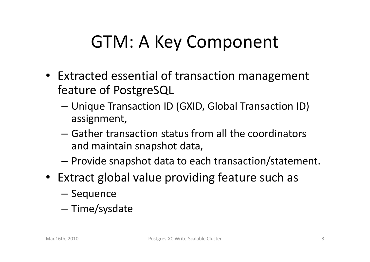# GTM: A Key Component

- Extracted essential of transaction management feature of PostgreSQL
	- Unique Transaction ID (GXID, Global Transaction ID) assignment,
	- $-$  Gather transaction status from all the coordinators and maintain snapshot data,
	- – $-$  Provide snapshot data to each transaction/statement.
- Extract global value providing feature such as
	- Sequence
	- –- Time/sysdate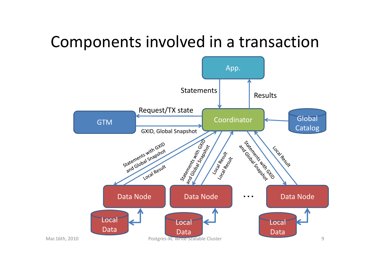#### Components involved in <sup>a</sup> transaction

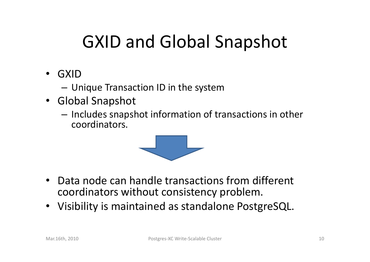# GXID and Global Snapshot

- GXID
	- Unique Transaction ID in the system
- Global Snapshot
	- – $-$  Includes snapshot information of transactions in other coordinators.



- Data node can handle transactions from different coordinators without consistency problem.
- $\bullet$ Visibility is maintained as standalone PostgreSQL.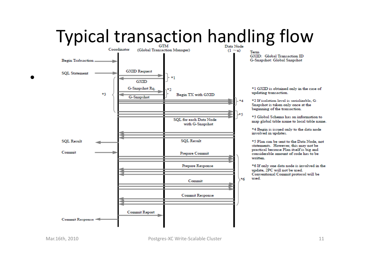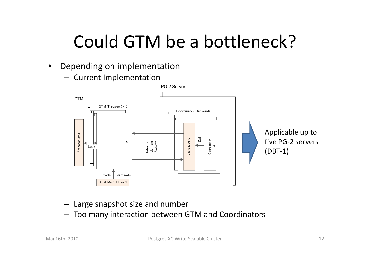# Could GTM be <sup>a</sup> bottleneck?

- $\bullet$  Depending on implementation
	- Current Implementation



- Large snapshot size and number
- Too many interaction between GTM and Coordinators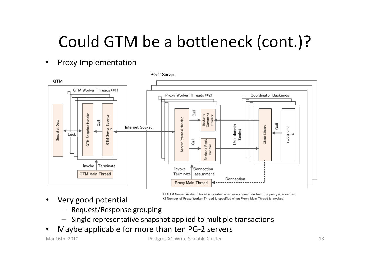## Could GTM be a bottleneck (cont.)?

#### $\bullet$ Proxy Implementation



 $\bullet$ Very good potential \*1 GTM Server Worker Thread is created when new connection from the proxy is accepted. \*2 Number of Proxy Worker Thread is specified when Proxy Main Thread is invoked

- Request/Response grouping
- Single representative snapshot applied to multiple transactions
- •Maybe applicable for more than ten PG‐2 servers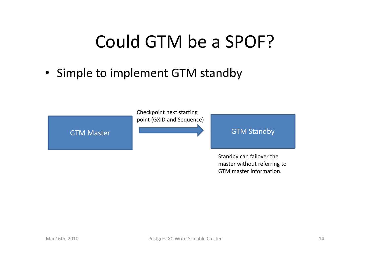# Could GTM be <sup>a</sup> SPOF?

• Simple to implement GTM standby



Standby can failover the master without referring to GTM master information.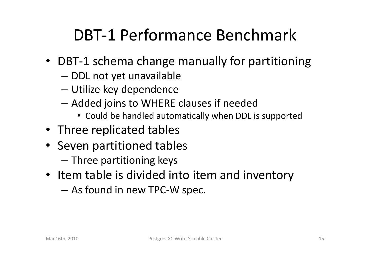## DBT‐1 Performance Benchmark

- DBT‐1 schema change manually for partitioning
	- – $-$  DDL not yet unavailable
	- Utilize key dependence
	- – $-$  Added joins to WHERE clauses if needed
		- Could be handled automatically when DDL is supported
- Three replicated tables
- Seven partitioned tables
	- $-$  Three partitioning keys
- Item table is divided into item and inventory
	- As found in new TPC‐W spec.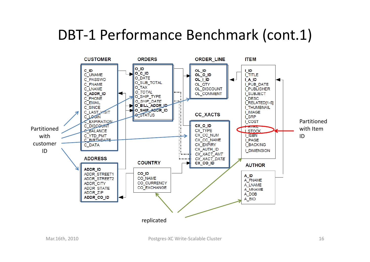#### DBT-1 Performance Benchmark (cont.1)

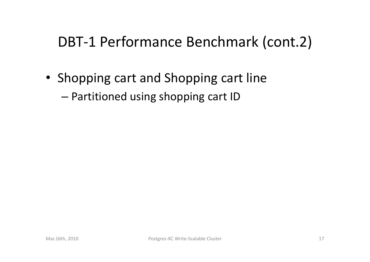#### DBT-1 Performance Benchmark (cont.2)

• Shopping cart and Shopping cart line

–– Partitioned using shopping cart ID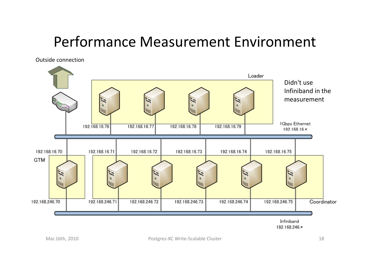#### Performance Measurement Environment

Outside connection

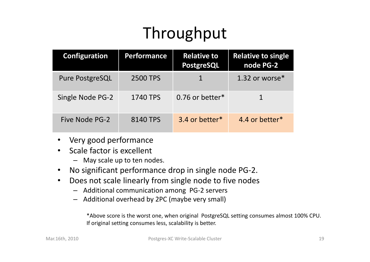## Throughput

| <b>Configuration</b> | <b>Performance</b> | <b>Relative to</b><br><b>PostgreSQL</b> | <b>Relative to single</b><br>node PG-2 |
|----------------------|--------------------|-----------------------------------------|----------------------------------------|
| Pure PostgreSQL      | 2500 TPS           |                                         | 1.32 or worse*                         |
| Single Node PG-2     | 1740 TPS           | $0.76$ or better $*$                    |                                        |
| Five Node PG-2       | 8140 TPS           | 3.4 or better*                          | 4.4 or better*                         |

- •Very good performance
- •• Scale factor is excellent
	- May scale up to ten nodes.
- •No significant performance drop in single node PG‐2.
- •• Does not scale linearly from single node to five nodes
	- Additional communication among PG‐2 servers
	- Additional overhead by 2PC (maybe very small)

\*Above score is the worst one, when original PostgreSQL setting consumes almost 100% CPU. If original setting consumes less, scalability is better.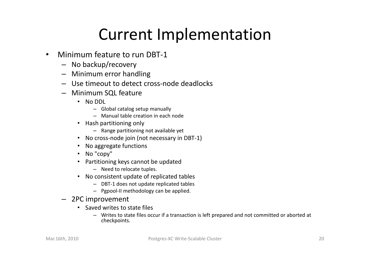### Current Implementation

- $\bullet$ • Minimum feature to run DBT-1
	- No backup/recovery
	- Minimum error handling
	- Use timeout to detect cross‐node deadlocks
	- Minimum SQL feature
		- No DDL
			- Global catalog setup manually
			- Manual table creation in each node
		- Hash partitioning only
			- Range partitioning not available yet
		- No cross-node join (not necessary in DBT-1)
		- No aggregate functions
		- No "copy"
		- Partitioning keys cannot be updated
			- Need to relocate tuples.
		- No consistent update of replicated tables
			- DBT‐1 does not update replicated tables
			- $-$  Pgpool-II methodology can be applied.
	- 2PC improvement
		- Saved writes to state files
			- Writes to state files occur if <sup>a</sup> transaction is left prepared and not committed or aborted at checkpoints.